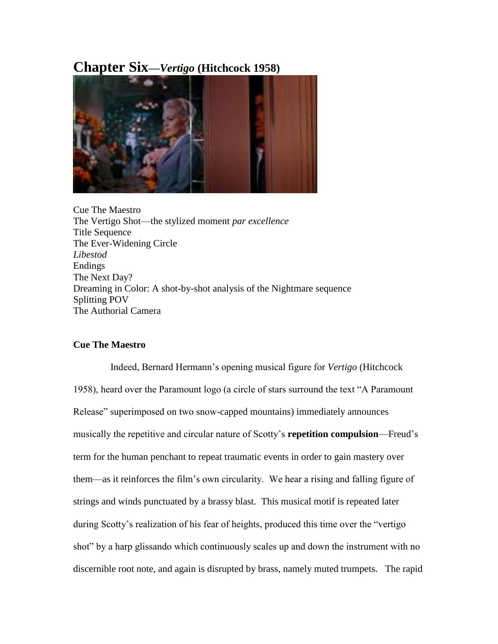# **Chapter Six—***Vertigo* **(Hitchcock 1958)**



Cue The Maestro The Vertigo Shot—the stylized moment *par excellence* Title Sequence The Ever-Widening Circle *Libestod* Endings The Next Day? Dreaming in Color: A shot-by-shot analysis of the Nightmare sequence Splitting POV The Authorial Camera

### **Cue The Maestro**

Indeed, Bernard Hermann's opening musical figure for *Vertigo* (Hitchcock 1958), heard over the Paramount logo (a circle of stars surround the text "A Paramount Release" superimposed on two snow-capped mountains) immediately announces musically the repetitive and circular nature of Scotty's **repetition compulsion**—Freud's term for the human penchant to repeat traumatic events in order to gain mastery over them—as it reinforces the film's own circularity. We hear a rising and falling figure of strings and winds punctuated by a brassy blast. This musical motif is repeated later during Scotty's realization of his fear of heights, produced this time over the "vertigo shot" by a harp glissando which continuously scales up and down the instrument with no discernible root note, and again is disrupted by brass, namely muted trumpets. The rapid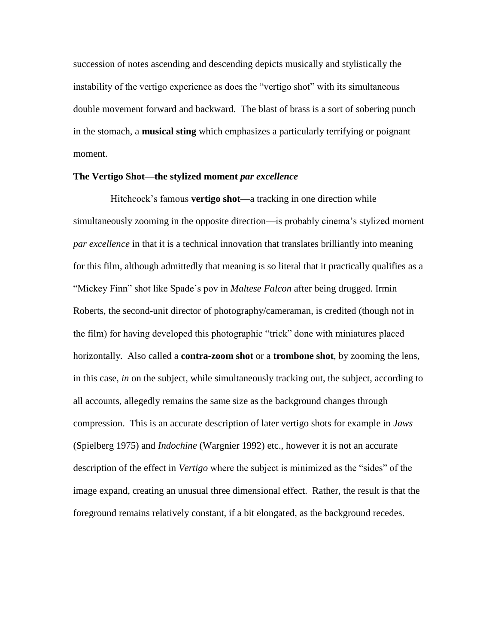succession of notes ascending and descending depicts musically and stylistically the instability of the vertigo experience as does the "vertigo shot" with its simultaneous double movement forward and backward. The blast of brass is a sort of sobering punch in the stomach, a **musical sting** which emphasizes a particularly terrifying or poignant moment.

### **The Vertigo Shot—the stylized moment** *par excellence*

Hitchcock's famous **vertigo shot**—a tracking in one direction while simultaneously zooming in the opposite direction—is probably cinema's stylized moment *par excellence* in that it is a technical innovation that translates brilliantly into meaning for this film, although admittedly that meaning is so literal that it practically qualifies as a "Mickey Finn" shot like Spade's pov in *Maltese Falcon* after being drugged. Irmin Roberts, the second-unit director of photography/cameraman, is credited (though not in the film) for having developed this photographic "trick" done with miniatures placed horizontally. Also called a **contra-zoom shot** or a **trombone shot**, by zooming the lens, in this case, *in* on the subject, while simultaneously tracking out, the subject, according to all accounts, allegedly remains the same size as the background changes through compression. This is an accurate description of later vertigo shots for example in *Jaws* (Spielberg 1975) and *Indochine* (Wargnier 1992) etc., however it is not an accurate description of the effect in *Vertigo* where the subject is minimized as the "sides" of the image expand, creating an unusual three dimensional effect. Rather, the result is that the foreground remains relatively constant, if a bit elongated, as the background recedes.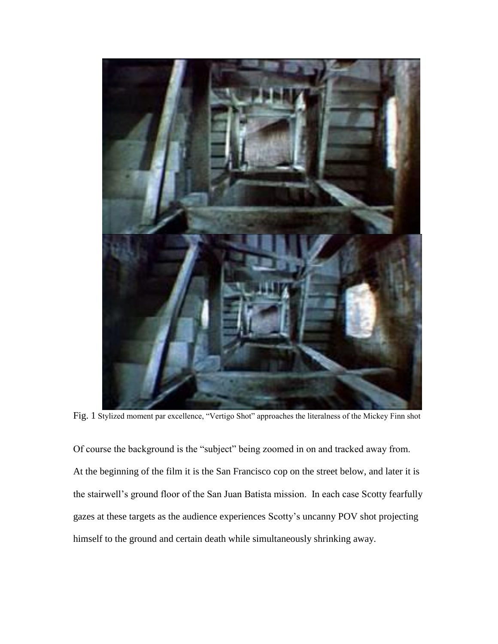

Fig. 1 Stylized moment par excellence, "Vertigo Shot" approaches the literalness of the Mickey Finn shot

Of course the background is the "subject" being zoomed in on and tracked away from. At the beginning of the film it is the San Francisco cop on the street below, and later it is the stairwell's ground floor of the San Juan Batista mission. In each case Scotty fearfully gazes at these targets as the audience experiences Scotty's uncanny POV shot projecting himself to the ground and certain death while simultaneously shrinking away.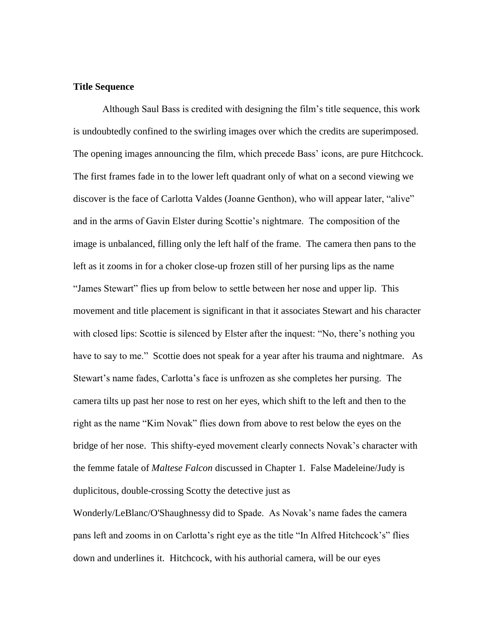### **Title Sequence**

Although Saul Bass is credited with designing the film's title sequence, this work is undoubtedly confined to the swirling images over which the credits are superimposed. The opening images announcing the film, which precede Bass' icons, are pure Hitchcock. The first frames fade in to the lower left quadrant only of what on a second viewing we discover is the face of Carlotta Valdes (Joanne Genthon), who will appear later, "alive" and in the arms of Gavin Elster during Scottie's nightmare. The composition of the image is unbalanced, filling only the left half of the frame. The camera then pans to the left as it zooms in for a choker close-up frozen still of her pursing lips as the name "James Stewart" flies up from below to settle between her nose and upper lip. This movement and title placement is significant in that it associates Stewart and his character with closed lips: Scottie is silenced by Elster after the inquest: "No, there's nothing you have to say to me." Scottie does not speak for a year after his trauma and nightmare. As Stewart's name fades, Carlotta's face is unfrozen as she completes her pursing. The camera tilts up past her nose to rest on her eyes, which shift to the left and then to the right as the name "Kim Novak" flies down from above to rest below the eyes on the bridge of her nose. This shifty-eyed movement clearly connects Novak's character with the femme fatale of *Maltese Falcon* discussed in Chapter 1. False Madeleine/Judy is duplicitous, double-crossing Scotty the detective just as

Wonderly/LeBlanc/O'Shaughnessy did to Spade. As Novak's name fades the camera pans left and zooms in on Carlotta's right eye as the title "In Alfred Hitchcock's" flies down and underlines it. Hitchcock, with his authorial camera, will be our eyes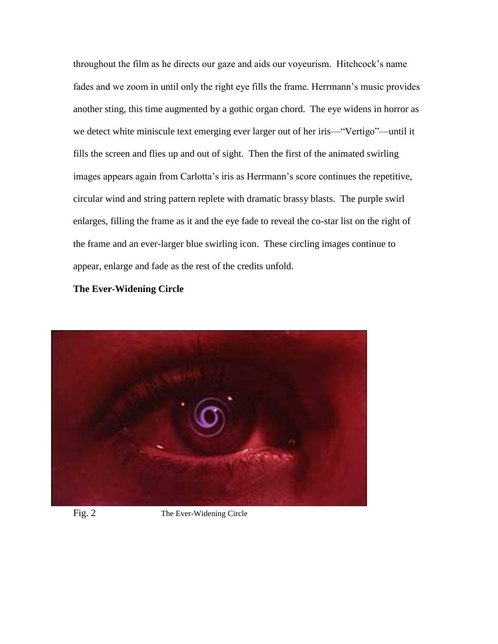throughout the film as he directs our gaze and aids our voyeurism. Hitchcock's name fades and we zoom in until only the right eye fills the frame. Herrmann's music provides another sting, this time augmented by a gothic organ chord. The eye widens in horror as we detect white miniscule text emerging ever larger out of her iris—"Vertigo"—until it fills the screen and flies up and out of sight. Then the first of the animated swirling images appears again from Carlotta's iris as Herrmann's score continues the repetitive, circular wind and string pattern replete with dramatic brassy blasts. The purple swirl enlarges, filling the frame as it and the eye fade to reveal the co-star list on the right of the frame and an ever-larger blue swirling icon. These circling images continue to appear, enlarge and fade as the rest of the credits unfold.

### **The Ever-Widening Circle**





Fig. 2 The Ever-Widening Circle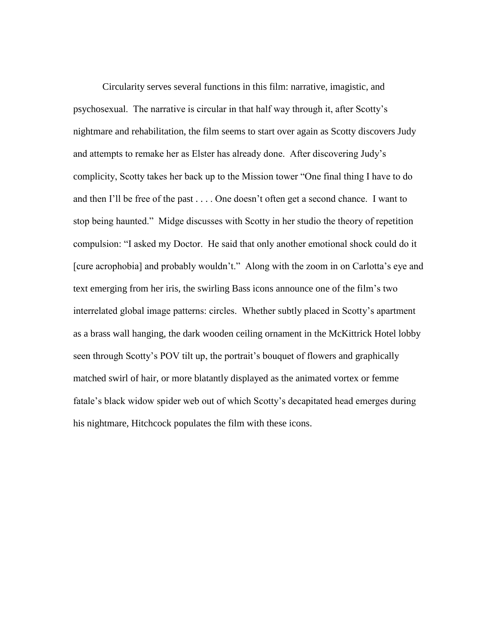Circularity serves several functions in this film: narrative, imagistic, and psychosexual. The narrative is circular in that half way through it, after Scotty's nightmare and rehabilitation, the film seems to start over again as Scotty discovers Judy and attempts to remake her as Elster has already done. After discovering Judy's complicity, Scotty takes her back up to the Mission tower "One final thing I have to do and then I'll be free of the past . . . . One doesn't often get a second chance. I want to stop being haunted." Midge discusses with Scotty in her studio the theory of repetition compulsion: "I asked my Doctor. He said that only another emotional shock could do it [cure acrophobia] and probably wouldn't." Along with the zoom in on Carlotta's eye and text emerging from her iris, the swirling Bass icons announce one of the film's two interrelated global image patterns: circles. Whether subtly placed in Scotty's apartment as a brass wall hanging, the dark wooden ceiling ornament in the McKittrick Hotel lobby seen through Scotty's POV tilt up, the portrait's bouquet of flowers and graphically matched swirl of hair, or more blatantly displayed as the animated vortex or femme fatale's black widow spider web out of which Scotty's decapitated head emerges during his nightmare, Hitchcock populates the film with these icons.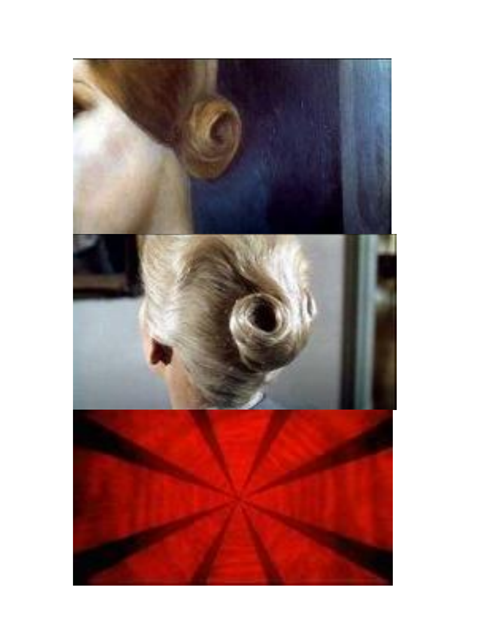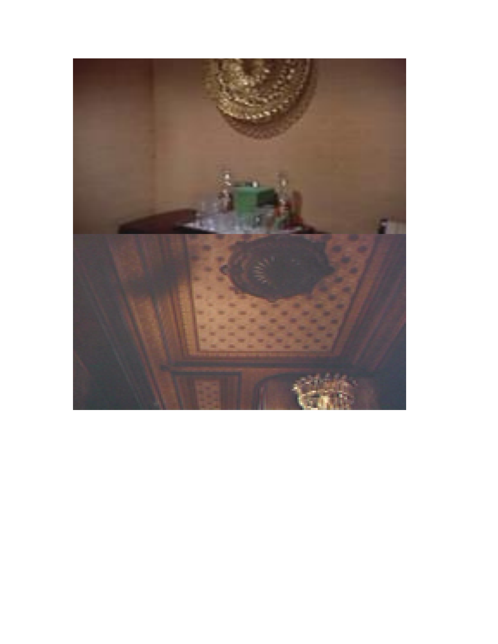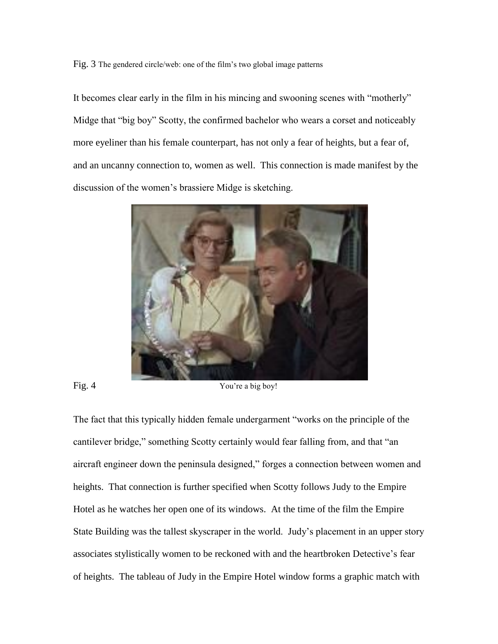Fig. 3 The gendered circle/web: one of the film's two global image patterns

It becomes clear early in the film in his mincing and swooning scenes with "motherly" Midge that "big boy" Scotty, the confirmed bachelor who wears a corset and noticeably more eyeliner than his female counterpart, has not only a fear of heights, but a fear of, and an uncanny connection to, women as well. This connection is made manifest by the discussion of the women's brassiere Midge is sketching.



Fig. 4 You're a big boy!

The fact that this typically hidden female undergarment "works on the principle of the cantilever bridge," something Scotty certainly would fear falling from, and that "an aircraft engineer down the peninsula designed," forges a connection between women and heights. That connection is further specified when Scotty follows Judy to the Empire Hotel as he watches her open one of its windows. At the time of the film the Empire State Building was the tallest skyscraper in the world. Judy's placement in an upper story associates stylistically women to be reckoned with and the heartbroken Detective's fear of heights. The tableau of Judy in the Empire Hotel window forms a graphic match with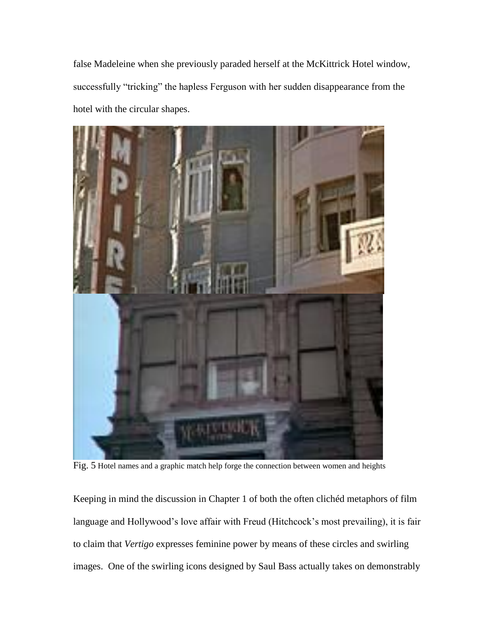false Madeleine when she previously paraded herself at the McKittrick Hotel window, successfully "tricking" the hapless Ferguson with her sudden disappearance from the hotel with the circular shapes.



Fig. 5 Hotel names and a graphic match help forge the connection between women and heights

Keeping in mind the discussion in Chapter 1 of both the often clichéd metaphors of film language and Hollywood's love affair with Freud (Hitchcock's most prevailing), it is fair to claim that *Vertigo* expresses feminine power by means of these circles and swirling images. One of the swirling icons designed by Saul Bass actually takes on demonstrably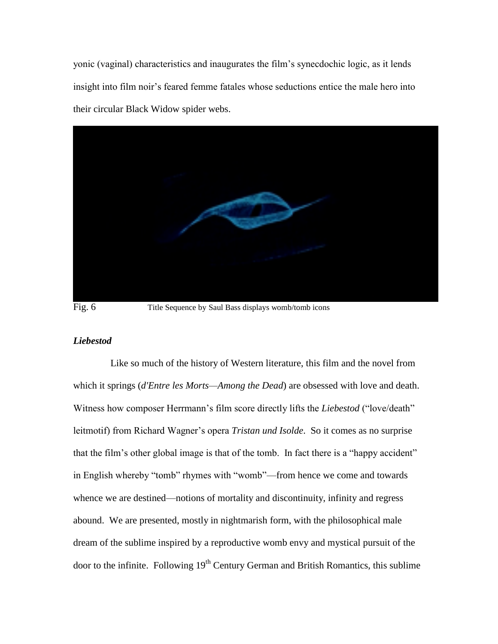yonic (vaginal) characteristics and inaugurates the film's synecdochic logic, as it lends insight into film noir's feared femme fatales whose seductions entice the male hero into their circular Black Widow spider webs.



Fig. 6 Title Sequence by Saul Bass displays womb/tomb icons

### *Liebestod*

Like so much of the history of Western literature, this film and the novel from which it springs (*d'Entre les Morts—Among the Dead*) are obsessed with love and death. Witness how composer Herrmann's film score directly lifts the *Liebestod* ("love/death" leitmotif) from Richard Wagner's opera *Tristan und Isolde*. So it comes as no surprise that the film's other global image is that of the tomb. In fact there is a "happy accident" in English whereby "tomb" rhymes with "womb"—from hence we come and towards whence we are destined—notions of mortality and discontinuity, infinity and regress abound. We are presented, mostly in nightmarish form, with the philosophical male dream of the sublime inspired by a reproductive womb envy and mystical pursuit of the door to the infinite. Following 19<sup>th</sup> Century German and British Romantics, this sublime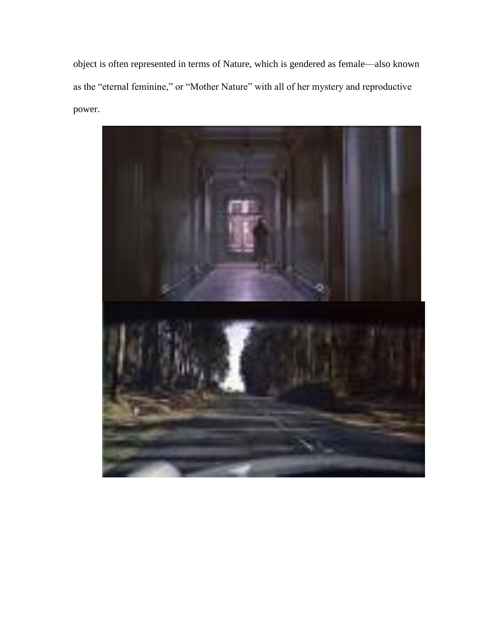object is often represented in terms of Nature, which is gendered as female—also known as the "eternal feminine," or "Mother Nature" with all of her mystery and reproductive power.

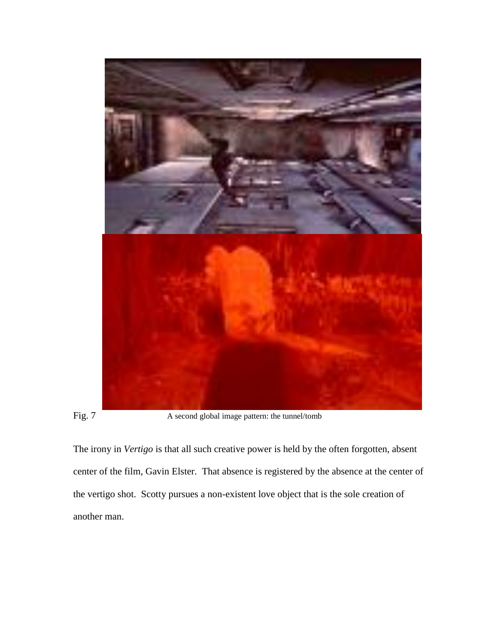

The irony in *Vertigo* is that all such creative power is held by the often forgotten, absent center of the film, Gavin Elster. That absence is registered by the absence at the center of the vertigo shot. Scotty pursues a non-existent love object that is the sole creation of another man.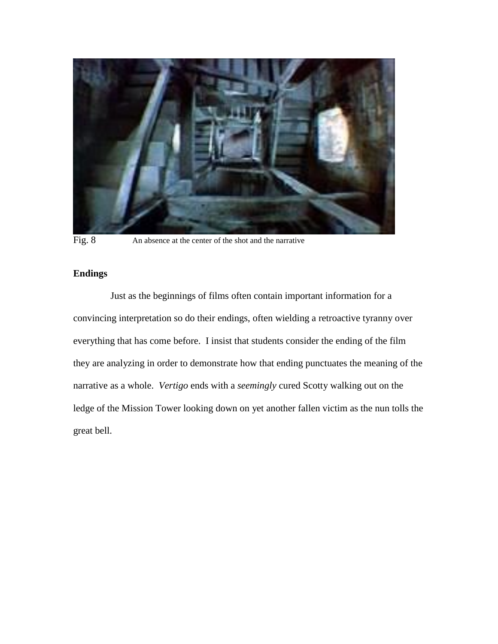

Fig. 8 An absence at the center of the shot and the narrative

### **Endings**

Just as the beginnings of films often contain important information for a convincing interpretation so do their endings, often wielding a retroactive tyranny over everything that has come before. I insist that students consider the ending of the film they are analyzing in order to demonstrate how that ending punctuates the meaning of the narrative as a whole. *Vertigo* ends with a *seemingly* cured Scotty walking out on the ledge of the Mission Tower looking down on yet another fallen victim as the nun tolls the great bell.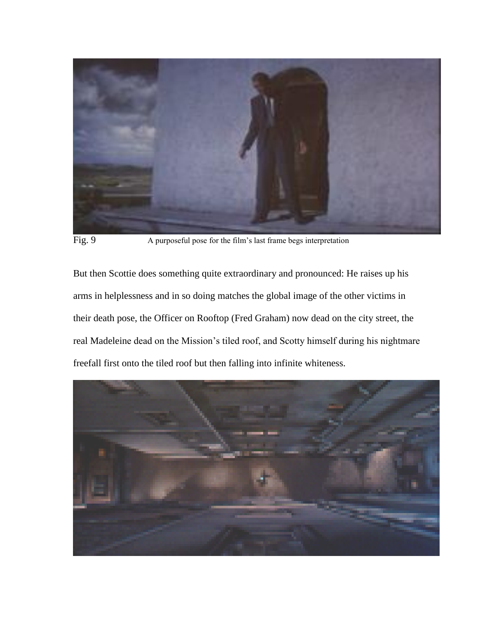![](_page_14_Picture_0.jpeg)

Fig. 9 A purposeful pose for the film's last frame begs interpretation

But then Scottie does something quite extraordinary and pronounced: He raises up his arms in helplessness and in so doing matches the global image of the other victims in their death pose, the Officer on Rooftop (Fred Graham) now dead on the city street, the real Madeleine dead on the Mission's tiled roof, and Scotty himself during his nightmare freefall first onto the tiled roof but then falling into infinite whiteness.

![](_page_14_Picture_3.jpeg)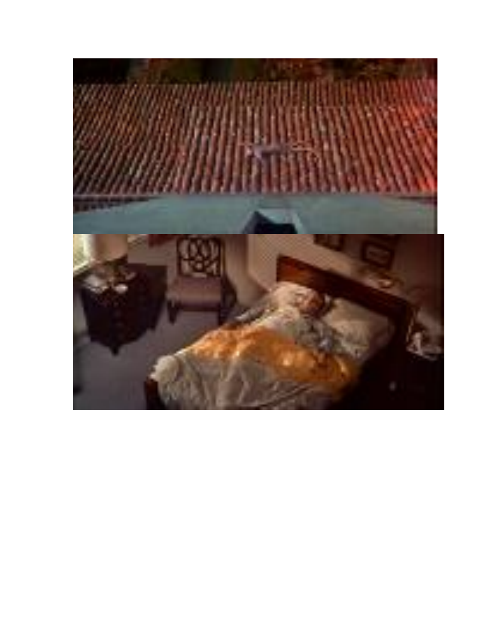![](_page_15_Picture_0.jpeg)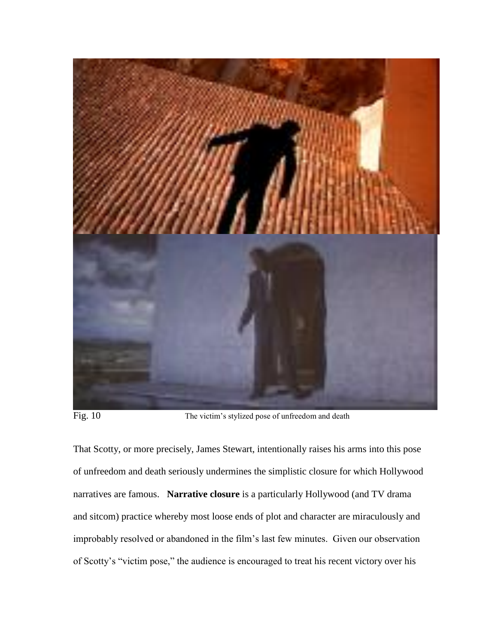![](_page_16_Picture_0.jpeg)

Fig. 10 The victim's stylized pose of unfreedom and death

That Scotty, or more precisely, James Stewart, intentionally raises his arms into this pose of unfreedom and death seriously undermines the simplistic closure for which Hollywood narratives are famous. **Narrative closure** is a particularly Hollywood (and TV drama and sitcom) practice whereby most loose ends of plot and character are miraculously and improbably resolved or abandoned in the film's last few minutes. Given our observation of Scotty's "victim pose," the audience is encouraged to treat his recent victory over his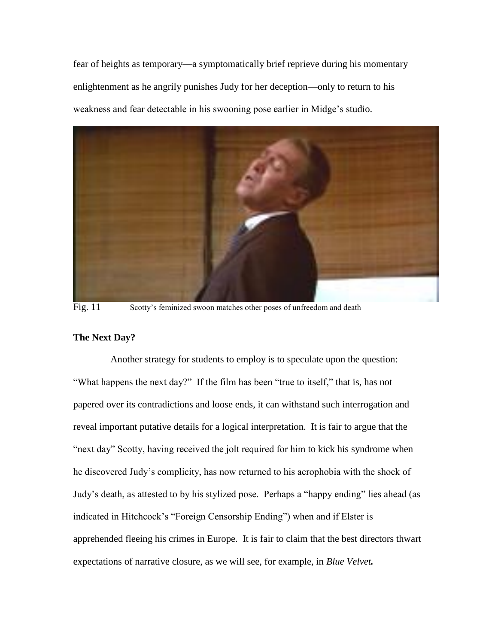fear of heights as temporary—a symptomatically brief reprieve during his momentary enlightenment as he angrily punishes Judy for her deception—only to return to his weakness and fear detectable in his swooning pose earlier in Midge's studio.

![](_page_17_Picture_1.jpeg)

Fig. 11 Scotty's feminized swoon matches other poses of unfreedom and death

### **The Next Day?**

Another strategy for students to employ is to speculate upon the question: "What happens the next day?" If the film has been "true to itself," that is, has not papered over its contradictions and loose ends, it can withstand such interrogation and reveal important putative details for a logical interpretation. It is fair to argue that the "next day" Scotty, having received the jolt required for him to kick his syndrome when he discovered Judy's complicity, has now returned to his acrophobia with the shock of Judy's death, as attested to by his stylized pose. Perhaps a "happy ending" lies ahead (as indicated in Hitchcock's "Foreign Censorship Ending") when and if Elster is apprehended fleeing his crimes in Europe. It is fair to claim that the best directors thwart expectations of narrative closure, as we will see, for example, in *Blue Velvet.*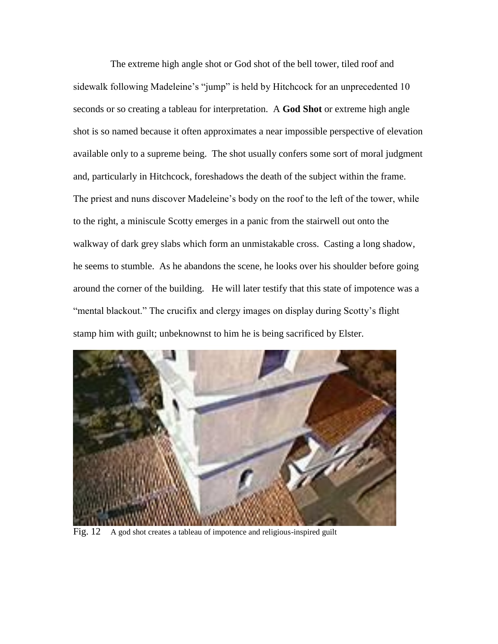The extreme high angle shot or God shot of the bell tower, tiled roof and sidewalk following Madeleine's "jump" is held by Hitchcock for an unprecedented 10 seconds or so creating a tableau for interpretation. A **God Shot** or extreme high angle shot is so named because it often approximates a near impossible perspective of elevation available only to a supreme being. The shot usually confers some sort of moral judgment and, particularly in Hitchcock, foreshadows the death of the subject within the frame. The priest and nuns discover Madeleine's body on the roof to the left of the tower, while to the right, a miniscule Scotty emerges in a panic from the stairwell out onto the walkway of dark grey slabs which form an unmistakable cross. Casting a long shadow, he seems to stumble. As he abandons the scene, he looks over his shoulder before going around the corner of the building. He will later testify that this state of impotence was a "mental blackout." The crucifix and clergy images on display during Scotty's flight stamp him with guilt; unbeknownst to him he is being sacrificed by Elster.

![](_page_18_Picture_1.jpeg)

Fig. 12 A god shot creates a tableau of impotence and religious-inspired guilt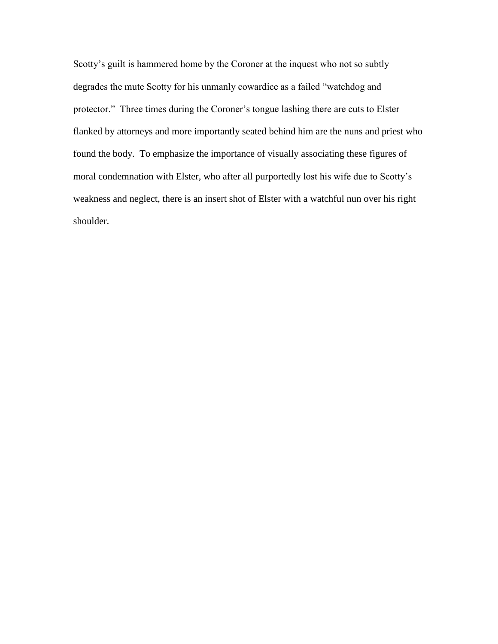Scotty's guilt is hammered home by the Coroner at the inquest who not so subtly degrades the mute Scotty for his unmanly cowardice as a failed "watchdog and protector." Three times during the Coroner's tongue lashing there are cuts to Elster flanked by attorneys and more importantly seated behind him are the nuns and priest who found the body. To emphasize the importance of visually associating these figures of moral condemnation with Elster, who after all purportedly lost his wife due to Scotty's weakness and neglect, there is an insert shot of Elster with a watchful nun over his right shoulder.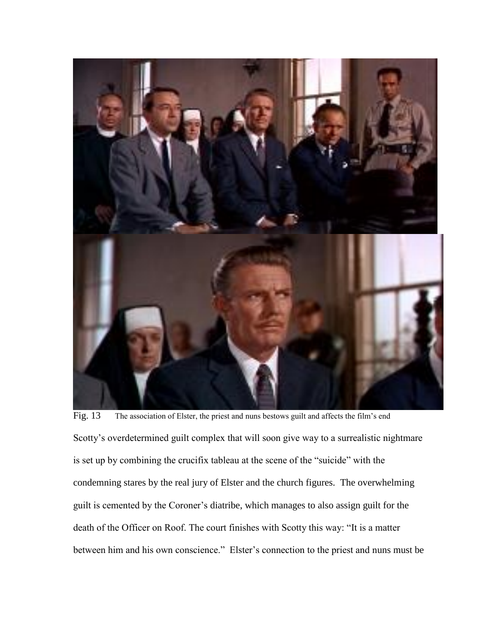![](_page_20_Picture_0.jpeg)

Fig. 13 The association of Elster, the priest and nuns bestows guilt and affects the film's end Scotty's overdetermined guilt complex that will soon give way to a surrealistic nightmare is set up by combining the crucifix tableau at the scene of the "suicide" with the condemning stares by the real jury of Elster and the church figures. The overwhelming guilt is cemented by the Coroner's diatribe, which manages to also assign guilt for the death of the Officer on Roof. The court finishes with Scotty this way: "It is a matter between him and his own conscience." Elster's connection to the priest and nuns must be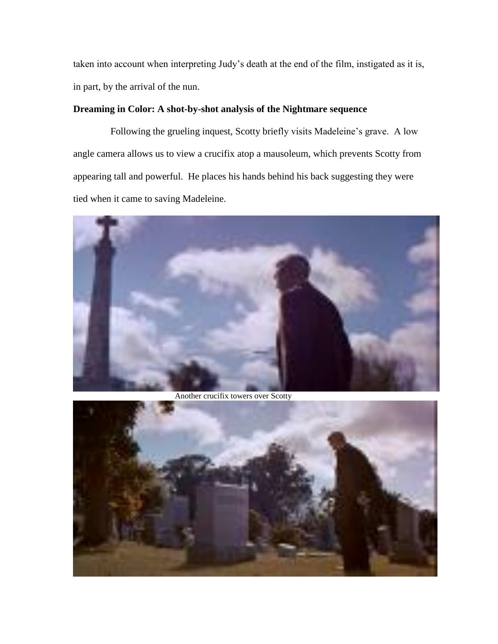taken into account when interpreting Judy's death at the end of the film, instigated as it is, in part, by the arrival of the nun.

## **Dreaming in Color: A shot-by-shot analysis of the Nightmare sequence**

Following the grueling inquest, Scotty briefly visits Madeleine's grave. A low angle camera allows us to view a crucifix atop a mausoleum, which prevents Scotty from appearing tall and powerful. He places his hands behind his back suggesting they were tied when it came to saving Madeleine.

![](_page_21_Picture_3.jpeg)

Another crucifix towers over Scotty

![](_page_21_Picture_5.jpeg)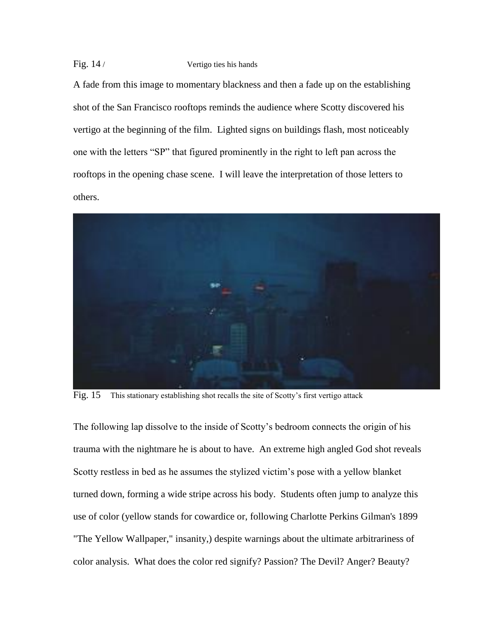### Fig. 14 / Vertigo ties his hands

A fade from this image to momentary blackness and then a fade up on the establishing shot of the San Francisco rooftops reminds the audience where Scotty discovered his vertigo at the beginning of the film. Lighted signs on buildings flash, most noticeably one with the letters "SP" that figured prominently in the right to left pan across the rooftops in the opening chase scene. I will leave the interpretation of those letters to others.

![](_page_22_Picture_2.jpeg)

Fig. 15 This stationary establishing shot recalls the site of Scotty's first vertigo attack

The following lap dissolve to the inside of Scotty's bedroom connects the origin of his trauma with the nightmare he is about to have. An extreme high angled God shot reveals Scotty restless in bed as he assumes the stylized victim's pose with a yellow blanket turned down, forming a wide stripe across his body. Students often jump to analyze this use of color (yellow stands for cowardice or, following Charlotte Perkins Gilman's 1899 "The Yellow Wallpaper," insanity,) despite warnings about the ultimate arbitrariness of color analysis. What does the color red signify? Passion? The Devil? Anger? Beauty?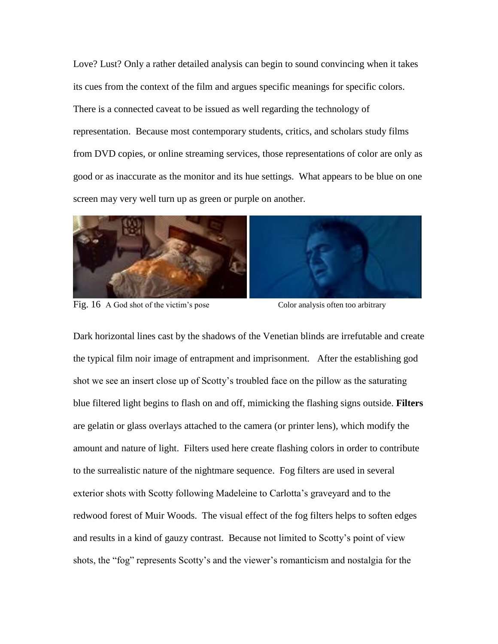Love? Lust? Only a rather detailed analysis can begin to sound convincing when it takes its cues from the context of the film and argues specific meanings for specific colors. There is a connected caveat to be issued as well regarding the technology of representation. Because most contemporary students, critics, and scholars study films from DVD copies, or online streaming services, those representations of color are only as good or as inaccurate as the monitor and its hue settings. What appears to be blue on one screen may very well turn up as green or purple on another.

![](_page_23_Picture_1.jpeg)

Fig. 16 A God shot of the victim's pose Color analysis often too arbitrary

![](_page_23_Picture_3.jpeg)

Dark horizontal lines cast by the shadows of the Venetian blinds are irrefutable and create the typical film noir image of entrapment and imprisonment. After the establishing god shot we see an insert close up of Scotty's troubled face on the pillow as the saturating blue filtered light begins to flash on and off, mimicking the flashing signs outside. **Filters**  are gelatin or glass overlays attached to the camera (or printer lens), which modify the amount and nature of light. Filters used here create flashing colors in order to contribute to the surrealistic nature of the nightmare sequence. Fog filters are used in several exterior shots with Scotty following Madeleine to Carlotta's graveyard and to the redwood forest of Muir Woods. The visual effect of the fog filters helps to soften edges and results in a kind of gauzy contrast. Because not limited to Scotty's point of view shots, the "fog" represents Scotty's and the viewer's romanticism and nostalgia for the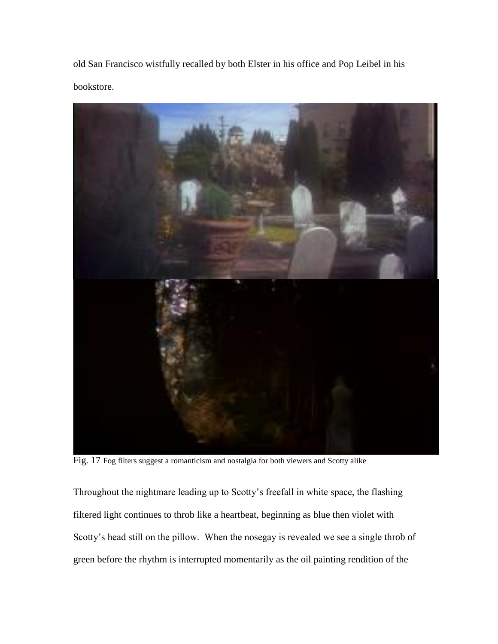old San Francisco wistfully recalled by both Elster in his office and Pop Leibel in his bookstore.

![](_page_24_Picture_1.jpeg)

Fig. 17 Fog filters suggest a romanticism and nostalgia for both viewers and Scotty alike

Throughout the nightmare leading up to Scotty's freefall in white space, the flashing filtered light continues to throb like a heartbeat, beginning as blue then violet with Scotty's head still on the pillow. When the nosegay is revealed we see a single throb of green before the rhythm is interrupted momentarily as the oil painting rendition of the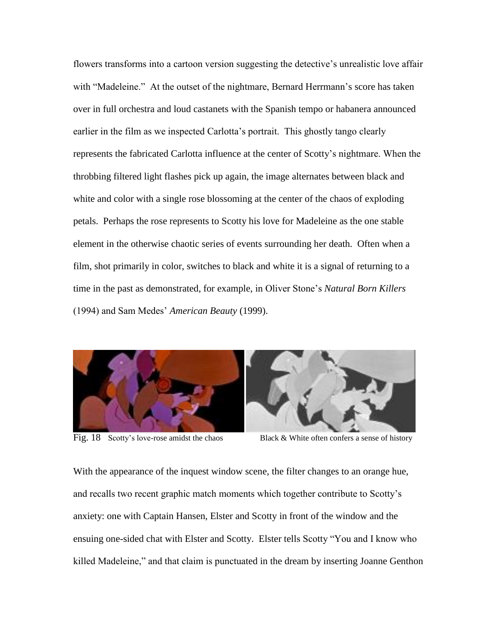flowers transforms into a cartoon version suggesting the detective's unrealistic love affair with "Madeleine." At the outset of the nightmare, Bernard Herrmann's score has taken over in full orchestra and loud castanets with the Spanish tempo or habanera announced earlier in the film as we inspected Carlotta's portrait. This ghostly tango clearly represents the fabricated Carlotta influence at the center of Scotty's nightmare. When the throbbing filtered light flashes pick up again, the image alternates between black and white and color with a single rose blossoming at the center of the chaos of exploding petals. Perhaps the rose represents to Scotty his love for Madeleine as the one stable element in the otherwise chaotic series of events surrounding her death. Often when a film, shot primarily in color, switches to black and white it is a signal of returning to a time in the past as demonstrated, for example, in Oliver Stone's *Natural Born Killers* (1994) and Sam Medes' *American Beauty* (1999).

![](_page_25_Picture_1.jpeg)

Fig. 18 Scotty's love-rose amidst the chaos Black & White often confers a sense of history

With the appearance of the inquest window scene, the filter changes to an orange hue, and recalls two recent graphic match moments which together contribute to Scotty's anxiety: one with Captain Hansen, Elster and Scotty in front of the window and the ensuing one-sided chat with Elster and Scotty. Elster tells Scotty "You and I know who killed Madeleine," and that claim is punctuated in the dream by inserting Joanne Genthon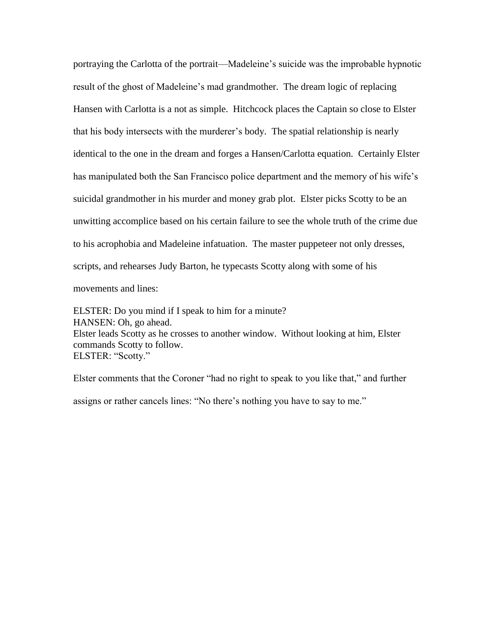portraying the Carlotta of the portrait—Madeleine's suicide was the improbable hypnotic result of the ghost of Madeleine's mad grandmother. The dream logic of replacing Hansen with Carlotta is a not as simple. Hitchcock places the Captain so close to Elster that his body intersects with the murderer's body. The spatial relationship is nearly identical to the one in the dream and forges a Hansen/Carlotta equation. Certainly Elster has manipulated both the San Francisco police department and the memory of his wife's suicidal grandmother in his murder and money grab plot. Elster picks Scotty to be an unwitting accomplice based on his certain failure to see the whole truth of the crime due to his acrophobia and Madeleine infatuation. The master puppeteer not only dresses, scripts, and rehearses Judy Barton, he typecasts Scotty along with some of his movements and lines:

ELSTER: Do you mind if I speak to him for a minute? HANSEN: Oh, go ahead. Elster leads Scotty as he crosses to another window. Without looking at him, Elster commands Scotty to follow. ELSTER: "Scotty."

Elster comments that the Coroner "had no right to speak to you like that," and further assigns or rather cancels lines: "No there's nothing you have to say to me."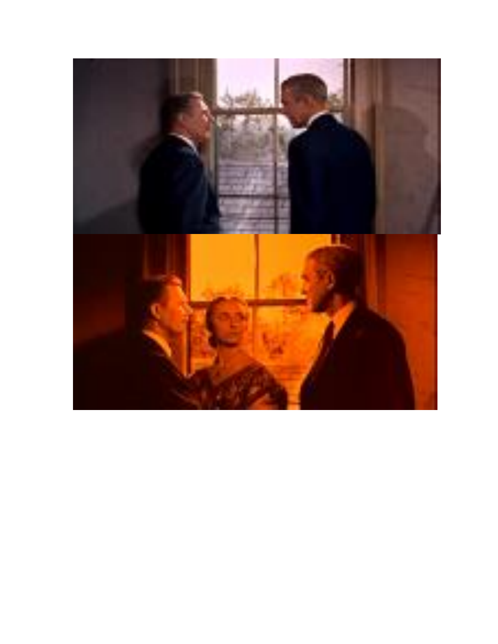![](_page_27_Picture_0.jpeg)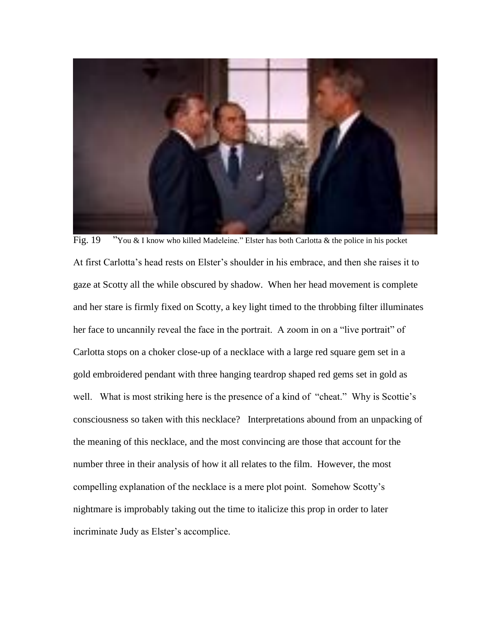![](_page_28_Picture_0.jpeg)

At first Carlotta's head rests on Elster's shoulder in his embrace, and then she raises it to gaze at Scotty all the while obscured by shadow. When her head movement is complete and her stare is firmly fixed on Scotty, a key light timed to the throbbing filter illuminates her face to uncannily reveal the face in the portrait. A zoom in on a "live portrait" of Carlotta stops on a choker close-up of a necklace with a large red square gem set in a gold embroidered pendant with three hanging teardrop shaped red gems set in gold as well. What is most striking here is the presence of a kind of "cheat." Why is Scottie's consciousness so taken with this necklace? Interpretations abound from an unpacking of the meaning of this necklace, and the most convincing are those that account for the number three in their analysis of how it all relates to the film. However, the most compelling explanation of the necklace is a mere plot point. Somehow Scotty's nightmare is improbably taking out the time to italicize this prop in order to later incriminate Judy as Elster's accomplice.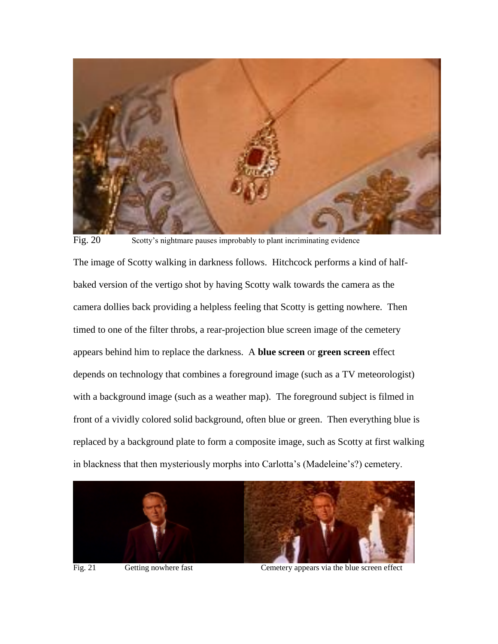![](_page_29_Picture_0.jpeg)

Fig. 20 Scotty's nightmare pauses improbably to plant incriminating evidence

The image of Scotty walking in darkness follows. Hitchcock performs a kind of halfbaked version of the vertigo shot by having Scotty walk towards the camera as the camera dollies back providing a helpless feeling that Scotty is getting nowhere. Then timed to one of the filter throbs, a rear-projection blue screen image of the cemetery appears behind him to replace the darkness. A **blue screen** or **green screen** effect depends on technology that combines a foreground image (such as a TV meteorologist) with a background image (such as a weather map). The foreground subject is filmed in front of a vividly colored solid background, often blue or green. Then everything blue is replaced by a background plate to form a composite image, such as Scotty at first walking in blackness that then mysteriously morphs into Carlotta's (Madeleine's?) cemetery.

![](_page_29_Picture_3.jpeg)

Fig. 21 Getting nowhere fast Cemetery appears via the blue screen effect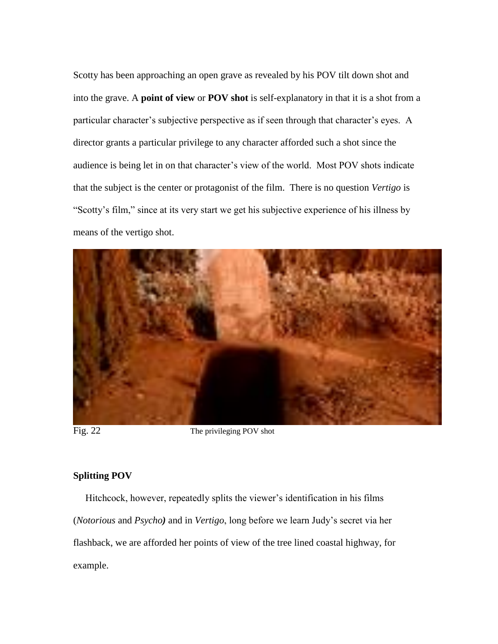Scotty has been approaching an open grave as revealed by his POV tilt down shot and into the grave. A **point of view** or **POV shot** is self-explanatory in that it is a shot from a particular character's subjective perspective as if seen through that character's eyes. A director grants a particular privilege to any character afforded such a shot since the audience is being let in on that character's view of the world. Most POV shots indicate that the subject is the center or protagonist of the film. There is no question *Vertigo* is "Scotty's film," since at its very start we get his subjective experience of his illness by means of the vertigo shot.

![](_page_30_Picture_1.jpeg)

Fig. 22 The privileging POV shot

### **Splitting POV**

 Hitchcock, however, repeatedly splits the viewer's identification in his films (*Notorious* and *Psycho)* and in *Vertigo*, long before we learn Judy's secret via her flashback, we are afforded her points of view of the tree lined coastal highway, for example.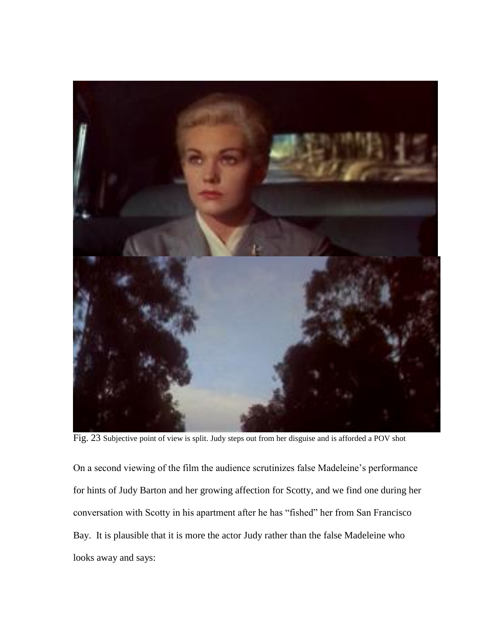![](_page_31_Picture_0.jpeg)

Fig. 23 Subjective point of view is split. Judy steps out from her disguise and is afforded a POV shot

On a second viewing of the film the audience scrutinizes false Madeleine's performance for hints of Judy Barton and her growing affection for Scotty, and we find one during her conversation with Scotty in his apartment after he has "fished" her from San Francisco Bay. It is plausible that it is more the actor Judy rather than the false Madeleine who looks away and says: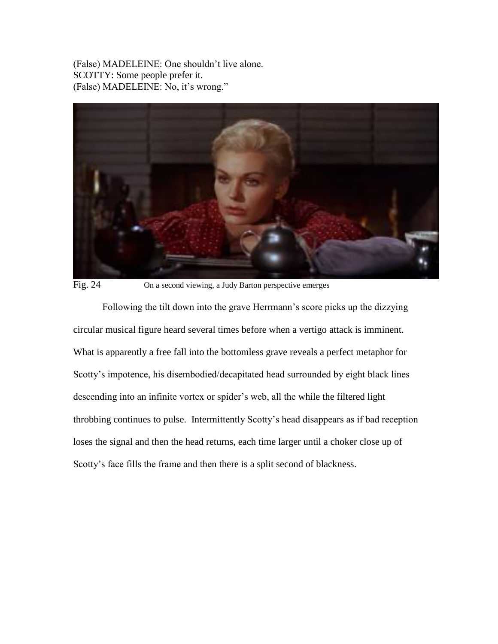(False) MADELEINE: One shouldn't live alone. SCOTTY: Some people prefer it. (False) MADELEINE: No, it's wrong."

![](_page_32_Picture_1.jpeg)

Fig. 24 On a second viewing, a Judy Barton perspective emerges

Following the tilt down into the grave Herrmann's score picks up the dizzying circular musical figure heard several times before when a vertigo attack is imminent. What is apparently a free fall into the bottomless grave reveals a perfect metaphor for Scotty's impotence, his disembodied/decapitated head surrounded by eight black lines descending into an infinite vortex or spider's web, all the while the filtered light throbbing continues to pulse. Intermittently Scotty's head disappears as if bad reception loses the signal and then the head returns, each time larger until a choker close up of Scotty's face fills the frame and then there is a split second of blackness.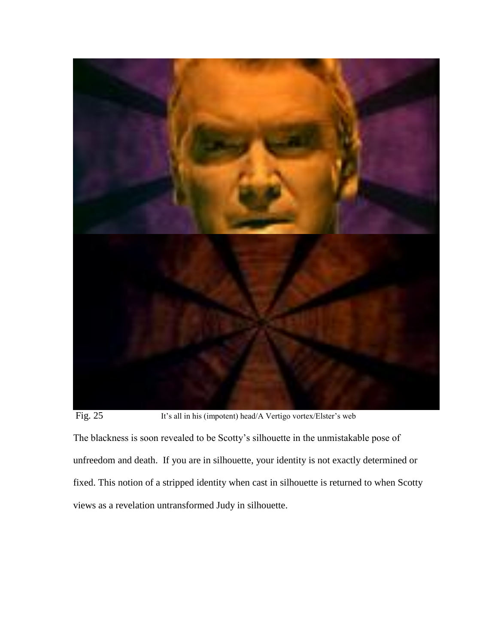![](_page_33_Picture_0.jpeg)

Fig. 25 It's all in his (impotent) head/A Vertigo vortex/Elster's web

The blackness is soon revealed to be Scotty's silhouette in the unmistakable pose of unfreedom and death. If you are in silhouette, your identity is not exactly determined or fixed. This notion of a stripped identity when cast in silhouette is returned to when Scotty views as a revelation untransformed Judy in silhouette.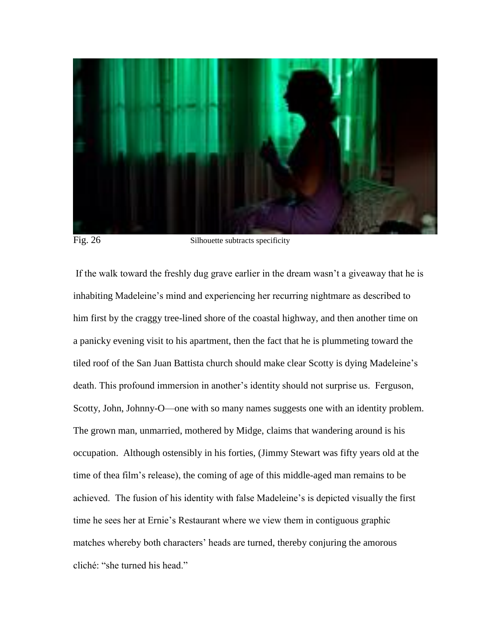![](_page_34_Picture_0.jpeg)

Fig. 26 Silhouette subtracts specificity

If the walk toward the freshly dug grave earlier in the dream wasn't a giveaway that he is inhabiting Madeleine's mind and experiencing her recurring nightmare as described to him first by the craggy tree-lined shore of the coastal highway, and then another time on a panicky evening visit to his apartment, then the fact that he is plummeting toward the tiled roof of the San Juan Battista church should make clear Scotty is dying Madeleine's death. This profound immersion in another's identity should not surprise us. Ferguson, Scotty, John, Johnny-O—one with so many names suggests one with an identity problem. The grown man, unmarried, mothered by Midge, claims that wandering around is his occupation. Although ostensibly in his forties, (Jimmy Stewart was fifty years old at the time of thea film's release), the coming of age of this middle-aged man remains to be achieved. The fusion of his identity with false Madeleine's is depicted visually the first time he sees her at Ernie's Restaurant where we view them in contiguous graphic matches whereby both characters' heads are turned, thereby conjuring the amorous cliché: "she turned his head."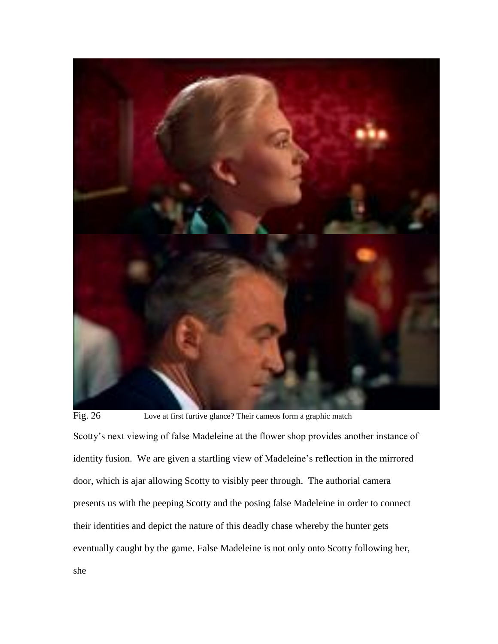![](_page_35_Picture_0.jpeg)

Fig. 26 Love at first furtive glance? Their cameos form a graphic match

Scotty's next viewing of false Madeleine at the flower shop provides another instance of identity fusion. We are given a startling view of Madeleine's reflection in the mirrored door, which is ajar allowing Scotty to visibly peer through. The authorial camera presents us with the peeping Scotty and the posing false Madeleine in order to connect their identities and depict the nature of this deadly chase whereby the hunter gets eventually caught by the game. False Madeleine is not only onto Scotty following her,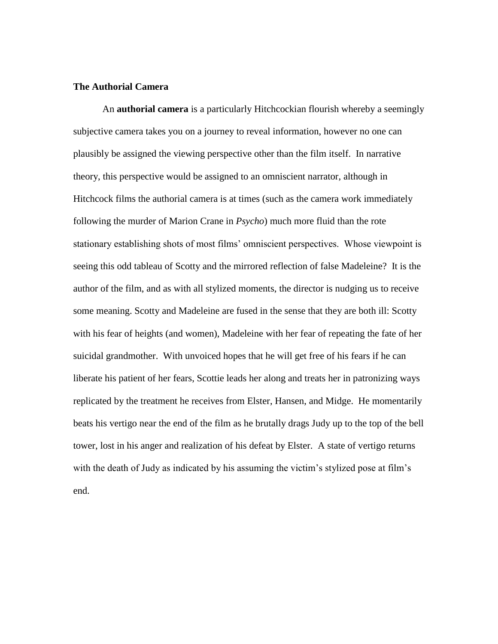### **The Authorial Camera**

An **authorial camera** is a particularly Hitchcockian flourish whereby a seemingly subjective camera takes you on a journey to reveal information, however no one can plausibly be assigned the viewing perspective other than the film itself. In narrative theory, this perspective would be assigned to an omniscient narrator, although in Hitchcock films the authorial camera is at times (such as the camera work immediately following the murder of Marion Crane in *Psycho*) much more fluid than the rote stationary establishing shots of most films' omniscient perspectives. Whose viewpoint is seeing this odd tableau of Scotty and the mirrored reflection of false Madeleine? It is the author of the film, and as with all stylized moments, the director is nudging us to receive some meaning. Scotty and Madeleine are fused in the sense that they are both ill: Scotty with his fear of heights (and women), Madeleine with her fear of repeating the fate of her suicidal grandmother. With unvoiced hopes that he will get free of his fears if he can liberate his patient of her fears, Scottie leads her along and treats her in patronizing ways replicated by the treatment he receives from Elster, Hansen, and Midge. He momentarily beats his vertigo near the end of the film as he brutally drags Judy up to the top of the bell tower, lost in his anger and realization of his defeat by Elster. A state of vertigo returns with the death of Judy as indicated by his assuming the victim's stylized pose at film's end.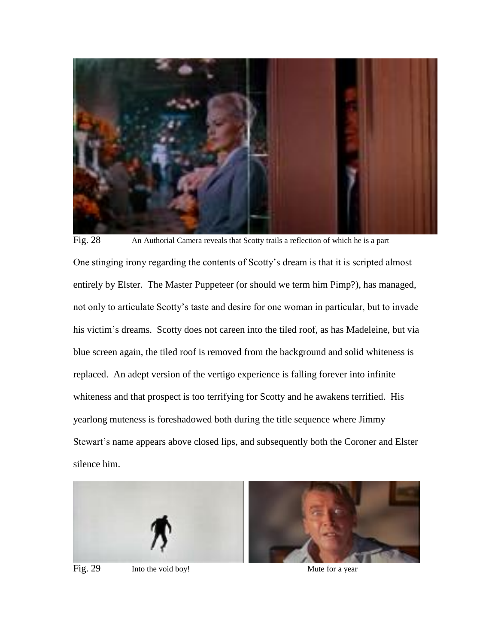![](_page_37_Picture_0.jpeg)

Fig. 28 An Authorial Camera reveals that Scotty trails a reflection of which he is a part

One stinging irony regarding the contents of Scotty's dream is that it is scripted almost entirely by Elster. The Master Puppeteer (or should we term him Pimp?), has managed, not only to articulate Scotty's taste and desire for one woman in particular, but to invade his victim's dreams. Scotty does not careen into the tiled roof, as has Madeleine, but via blue screen again, the tiled roof is removed from the background and solid whiteness is replaced. An adept version of the vertigo experience is falling forever into infinite whiteness and that prospect is too terrifying for Scotty and he awakens terrified. His yearlong muteness is foreshadowed both during the title sequence where Jimmy Stewart's name appears above closed lips, and subsequently both the Coroner and Elster silence him.

![](_page_37_Picture_3.jpeg)

Fig. 29 Into the void boy! Mute for a year